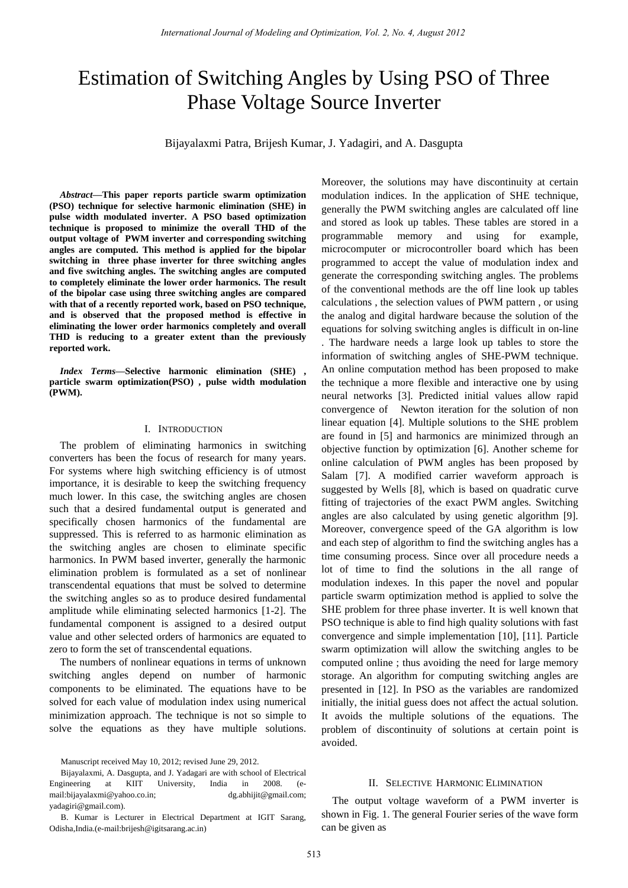# Estimation of Switching Angles by Using PSO of Three Phase Voltage Source Inverter

Bijayalaxmi Patra, Brijesh Kumar, J. Yadagiri, and A. Dasgupta

*Abstract***—This paper reports particle swarm optimization (PSO) technique for selective harmonic elimination (SHE) in pulse width modulated inverter. A PSO based optimization technique is proposed to minimize the overall THD of the output voltage of PWM inverter and corresponding switching angles are computed. This method is applied for the bipolar switching in three phase inverter for three switching angles and five switching angles. The switching angles are computed to completely eliminate the lower order harmonics. The result of the bipolar case using three switching angles are compared with that of a recently reported work, based on PSO technique, and is observed that the proposed method is effective in eliminating the lower order harmonics completely and overall THD is reducing to a greater extent than the previously reported work.** 

*Index Terms***—Selective harmonic elimination (SHE) , particle swarm optimization(PSO) , pulse width modulation (PWM).** 

#### I. INTRODUCTION

The problem of eliminating harmonics in switching converters has been the focus of research for many years. For systems where high switching efficiency is of utmost importance, it is desirable to keep the switching frequency much lower. In this case, the switching angles are chosen such that a desired fundamental output is generated and specifically chosen harmonics of the fundamental are suppressed. This is referred to as harmonic elimination as the switching angles are chosen to eliminate specific harmonics. In PWM based inverter, generally the harmonic elimination problem is formulated as a set of nonlinear transcendental equations that must be solved to determine the switching angles so as to produce desired fundamental amplitude while eliminating selected harmonics [1-2]. The fundamental component is assigned to a desired output value and other selected orders of harmonics are equated to zero to form the set of transcendental equations.

The numbers of nonlinear equations in terms of unknown switching angles depend on number of harmonic components to be eliminated. The equations have to be solved for each value of modulation index using numerical minimization approach. The technique is not so simple to solve the equations as they have multiple solutions.

B. Kumar is Lecturer in Electrical Department at IGIT Sarang, Odisha,India.(e-mail:brijesh@igitsarang.ac.in)

modulation indices. In the application of SHE technique, generally the PWM switching angles are calculated off line and stored as look up tables. These tables are stored in a programmable memory and using for example, microcomputer or microcontroller board which has been programmed to accept the value of modulation index and generate the corresponding switching angles. The problems of the conventional methods are the off line look up tables calculations , the selection values of PWM pattern , or using the analog and digital hardware because the solution of the equations for solving switching angles is difficult in on-line . The hardware needs a large look up tables to store the information of switching angles of SHE-PWM technique. An online computation method has been proposed to make the technique a more flexible and interactive one by using neural networks [3]. Predicted initial values allow rapid convergence of Newton iteration for the solution of non linear equation [4]. Multiple solutions to the SHE problem are found in [5] and harmonics are minimized through an objective function by optimization [6]. Another scheme for online calculation of PWM angles has been proposed by Salam [7]. A modified carrier waveform approach is suggested by Wells [8], which is based on quadratic curve fitting of trajectories of the exact PWM angles. Switching angles are also calculated by using genetic algorithm [9]. Moreover, convergence speed of the GA algorithm is low and each step of algorithm to find the switching angles has a time consuming process. Since over all procedure needs a lot of time to find the solutions in the all range of modulation indexes. In this paper the novel and popular particle swarm optimization method is applied to solve the SHE problem for three phase inverter. It is well known that PSO technique is able to find high quality solutions with fast convergence and simple implementation [10], [11]. Particle swarm optimization will allow the switching angles to be computed online ; thus avoiding the need for large memory storage. An algorithm for computing switching angles are presented in [12]. In PSO as the variables are randomized initially, the initial guess does not affect the actual solution. It avoids the multiple solutions of the equations. The problem of discontinuity of solutions at certain point is avoided.

Moreover, the solutions may have discontinuity at certain

# II. SELECTIVE HARMONIC ELIMINATION

The output voltage waveform of a PWM inverter is shown in Fig. 1. The general Fourier series of the wave form can be given as

Manuscript received May 10, 2012; revised June 29, 2012.

Bijayalaxmi, A. Dasgupta, and J. Yadagari are with school of Electrical Engineering at KIIT University, India in 2008. (email:bijayalaxmi@yahoo.co.in; dg.abhijit@gmail.com; yadagiri@gmail.com).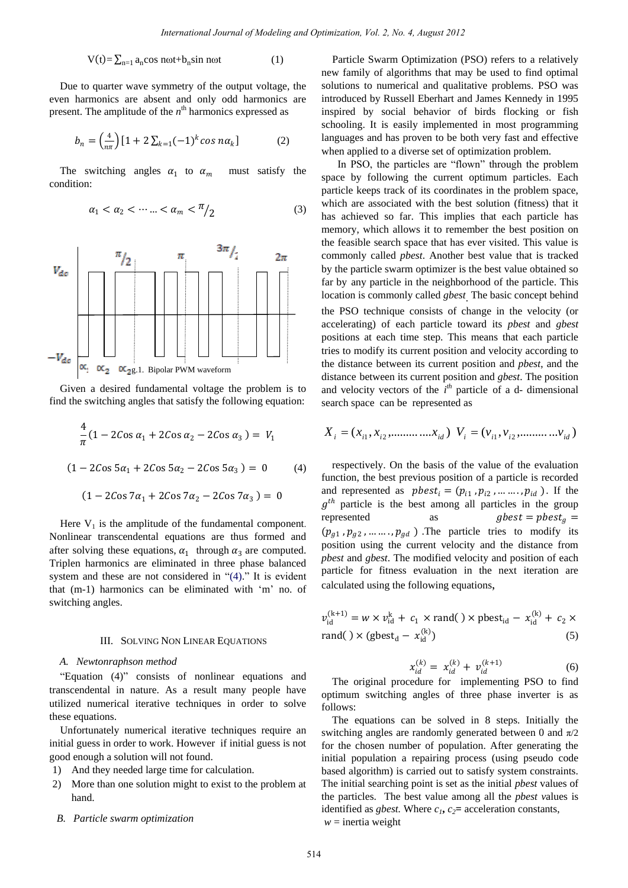$$
V(t) = \sum_{n=1}^{\infty} a_n \cos n\omega t + b_n \sin n\omega t \tag{1}
$$

Due to quarter wave symmetry of the output voltage, the even harmonics are absent and only odd harmonics are present. The amplitude of the  $n^{\text{th}}$  harmonics expressed as

$$
b_n = \left(\frac{4}{n\pi}\right) \left[1 + 2 \sum_{k=1}^{\infty} (-1)^k \cos n\alpha_k\right] \tag{2}
$$

The switching angles  $\alpha_1$  to  $\alpha_m$ must satisfy the condition:

$$
\alpha_1 < \alpha_2 < \cdots \ldots < \alpha_m < \frac{\pi}{2} \tag{3}
$$



Given a desired fundamental voltage the problem is to find the switching angles that satisfy the following equation:

$$
\frac{4}{\pi} (1 - 2\cos \alpha_1 + 2\cos \alpha_2 - 2\cos \alpha_3) = V_1
$$
  
(1 - 2\cos 5\alpha\_1 + 2\cos 5\alpha\_2 - 2\cos 5\alpha\_3) = 0 (4)  
(1 - 2\cos 7\alpha\_1 + 2\cos 7\alpha\_2 - 2\cos 7\alpha\_3) = 0

Here  $V_1$  is the amplitude of the fundamental component. Nonlinear transcendental equations are thus formed and after solving these equations,  $\alpha_1$  through  $\alpha_3$  are computed. Triplen harmonics are eliminated in three phase balanced system and these are not considered in "(4)." It is evident that (m-1) harmonics can be eliminated with "m" no. of switching angles.

### III. SOLVING NON LINEAR EQUATIONS

# *A. Newtonraphson method*

"Equation (4)" consists of nonlinear equations and transcendental in nature. As a result many people have utilized numerical iterative techniques in order to solve these equations.

Unfortunately numerical iterative techniques require an initial guess in order to work. However if initial guess is not good enough a solution will not found.

- 1) And they needed large time for calculation.
- 2) More than one solution might to exist to the problem at hand.
- *B. Particle swarm optimization*

Particle Swarm Optimization (PSO) refers to a relatively new family of algorithms that may be used to find optimal solutions to numerical and qualitative problems. PSO was introduced by Russell Eberhart and James Kennedy in 1995 inspired by social behavior of birds flocking or fish schooling. It is easily implemented in most programming languages and has proven to be both very fast and effective when applied to a diverse set of optimization problem.

 In PSO, the particles are "flown" through the problem space by following the current optimum particles. Each particle keeps track of its coordinates in the problem space, which are associated with the best solution (fitness) that it has achieved so far. This implies that each particle has memory, which allows it to remember the best position on the feasible search space that has ever visited. This value is commonly called *pbest*. Another best value that is tracked by the particle swarm optimizer is the best value obtained so far by any particle in the neighborhood of the particle. This location is commonly called *gbest* . The basic concept behind the PSO technique consists of change in the velocity (or accelerating) of each particle toward its *pbest* and *gbest* positions at each time step. This means that each particle tries to modify its current position and velocity according to the distance between its current position and *pbest*, and the distance between its current position and *gbest*. The position and velocity vectors of the  $i^{th}$  particle of a d- dimensional search space can be represented as

$$
X_i = (x_{i1}, x_{i2}, \dots, x_{id}) \quad V_i = (v_{i1}, v_{i2}, \dots, v_{id})
$$

respectively. On the basis of the value of the evaluation function, the best previous position of a particle is recorded and represented as  $pbest_i = (p_{i1}, p_{i2}, \dots, p_{id})$ . If the  $g<sup>th</sup>$  particle is the best among all particles in the group represented as  $gbest = pbest_a =$  $(p_{g1}, p_{g2}, \dots, p_{gd})$ . The particle tries to modify its position using the current velocity and the distance from *pbest* and *gbest*. The modified velocity and position of each particle for fitness evaluation in the next iteration are calculated using the following equations,

$$
v_{\rm id}^{(k+1)} = w \times v_{\rm id}^k + c_1 \times \text{rand}() \times \text{pbest}_{\rm id} - x_{\rm id}^{(k)} + c_2 \times \text{rand}() \times (\text{gbest}_d - x_{\rm id}^{(k)})
$$
\n
$$
(5)
$$

$$
x_{id}^{(k)} = x_{id}^{(k)} + v_{id}^{(k+1)}
$$
 (6)

The original procedure for implementing PSO to find optimum switching angles of three phase inverter is as follows:

The equations can be solved in 8 steps. Initially the switching angles are randomly generated between 0 and  $\pi/2$ for the chosen number of population. After generating the initial population a repairing process (using pseudo code based algorithm) is carried out to satisfy system constraints. The initial searching point is set as the initial *pbest* values of the particles. The best value among all the *pbest v*alues is identified as *gbest.* Where *c1***,** *c2***=** acceleration constants,  $w =$ inertia weight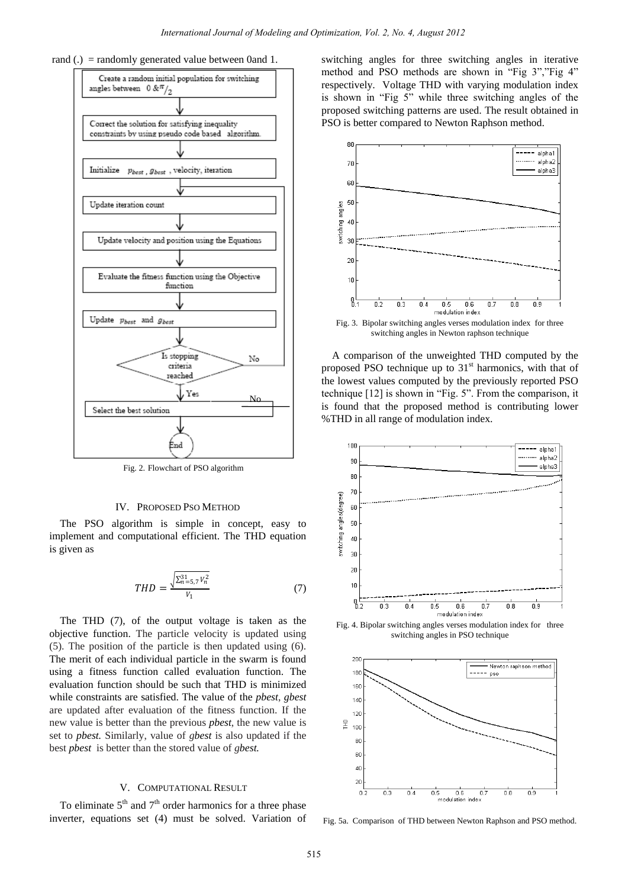rand (.) = randomly generated value between 0and 1.



Fig. 2. Flowchart of PSO algorithm

# IV. PROPOSED PSO METHOD

The PSO algorithm is simple in concept, easy to implement and computational efficient. The THD equation is given as

$$
THD = \frac{\sqrt{\sum_{n=5,7}^{31} v_n^2}}{v_1} \tag{7}
$$

The THD (7), of the output voltage is taken as the objective function. The particle velocity is updated using (5). The position of the particle is then updated using (6). The merit of each individual particle in the swarm is found using a fitness function called evaluation function. The evaluation function should be such that THD is minimized while constraints are satisfied. The value of the *pbest*, *gbest* are updated after evaluation of the fitness function. If the new value is better than the previous *pbest*, the new value is set to *pbest.* Similarly, value of *gbest* is also updated if the best *pbest* is better than the stored value of *gbest.*

# V. COMPUTATIONAL RESULT

To eliminate  $5<sup>th</sup>$  and  $7<sup>th</sup>$  order harmonics for a three phase inverter, equations set (4) must be solved. Variation of switching angles for three switching angles in iterative method and PSO methods are shown in "Fig 3","Fig 4" respectively. Voltage THD with varying modulation index is shown in "Fig 5" while three switching angles of the proposed switching patterns are used. The result obtained in PSO is better compared to Newton Raphson method.



Fig. 3. Bipolar switching angles verses modulation index for three switching angles in Newton raphson technique

A comparison of the unweighted THD computed by the proposed PSO technique up to  $31<sup>st</sup>$  harmonics, with that of the lowest values computed by the previously reported PSO technique [12] is shown in "Fig. 5". From the comparison, it is found that the proposed method is contributing lower %THD in all range of modulation index.



Fig. 4. Bipolar switching angles verses modulation index for three switching angles in PSO technique



Fig. 5a. Comparison of THD between Newton Raphson and PSO method.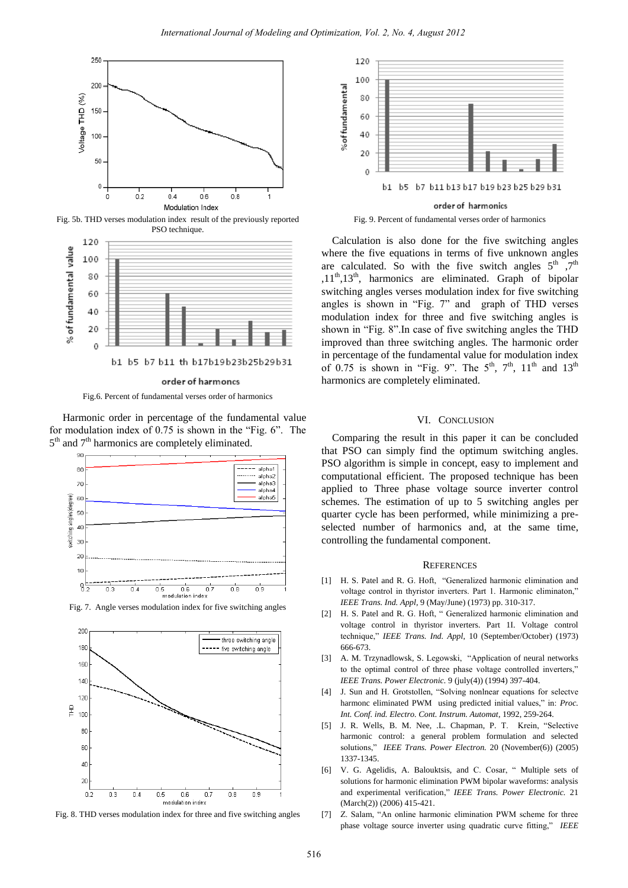

Fig. 5b. THD verses modulation index result of the previously reported PSO technique.



order of harmoncs

Fig.6. Percent of fundamental verses order of harmonics

 Harmonic order in percentage of the fundamental value for modulation index of 0.75 is shown in the "Fig. 6". The  $5<sup>th</sup>$  and  $7<sup>th</sup>$  harmonics are completely eliminated.



Fig. 7. Angle verses modulation index for five switching angles



Fig. 8. THD verses modulation index for three and five switching angles



Calculation is also done for the five switching angles where the five equations in terms of five unknown angles are calculated. So with the five switch angles  $5<sup>th</sup>$ ,  $7<sup>th</sup>$ ,11<sup>th</sup>,13<sup>th</sup>, harmonics are eliminated. Graph of bipolar switching angles verses modulation index for five switching angles is shown in "Fig. 7" and graph of THD verses modulation index for three and five switching angles is shown in "Fig. 8".In case of five switching angles the THD improved than three switching angles. The harmonic order in percentage of the fundamental value for modulation index of 0.75 is shown in "Fig. 9". The  $5<sup>th</sup>$ ,  $7<sup>th</sup>$ ,  $11<sup>th</sup>$  and  $13<sup>th</sup>$ harmonics are completely eliminated.

#### VI. CONCLUSION

Comparing the result in this paper it can be concluded that PSO can simply find the optimum switching angles. PSO algorithm is simple in concept, easy to implement and computational efficient. The proposed technique has been applied to Three phase voltage source inverter control schemes. The estimation of up to 5 switching angles per quarter cycle has been performed, while minimizing a preselected number of harmonics and, at the same time, controlling the fundamental component.

### **REFERENCES**

- [1] H. S. Patel and R. G. Hoft, "Generalized harmonic elimination and voltage control in thyristor inverters. Part 1. Harmonic eliminaton," *IEEE Trans. Ind. Appl,* 9 (May/June) (1973) pp. 310-317.
- [2] H. S. Patel and R. G. Hoft, " Generalized harmonic elimination and voltage control in thyristor inverters. Part 1I. Voltage control technique," *IEEE Trans. Ind. Appl*, 10 (September/October) (1973) 666-673.
- [3] A. M. Trzynadlowsk, S. Legowski, "Application of neural networks to the optimal control of three phase voltage controlled inverters, *IEEE Trans. Power Electronic.* 9 (july(4)) (1994) 397-404.
- [4] J. Sun and H. Grotstollen, "Solving nonlnear equations for selectve harmonc eliminated PWM using predicted initial values," in: *Proc. Int. Conf. ind. Electro. Cont. Instrum. Automat*, 1992, 259-264.
- [5] J. R. Wells, B. M. Nee, .L. Chapman, P. T. Krein, "Selective harmonic control: a general problem formulation and selected solutions," *IEEE Trans. Power Electron.* 20 (November(6)) (2005) 1337-1345.
- [6] V. G. Agelidis, A. Balouktsis, and C. Cosar, " Multiple sets of solutions for harmonic elimination PWM bipolar waveforms: analysis and experimental verification," *IEEE Trans. Power Electronic.* 21 (March(2)) (2006) 415-421.
- [7] Z. Salam, "An online harmonic elimination PWM scheme for three phase voltage source inverter using quadratic curve fitting," *IEEE*